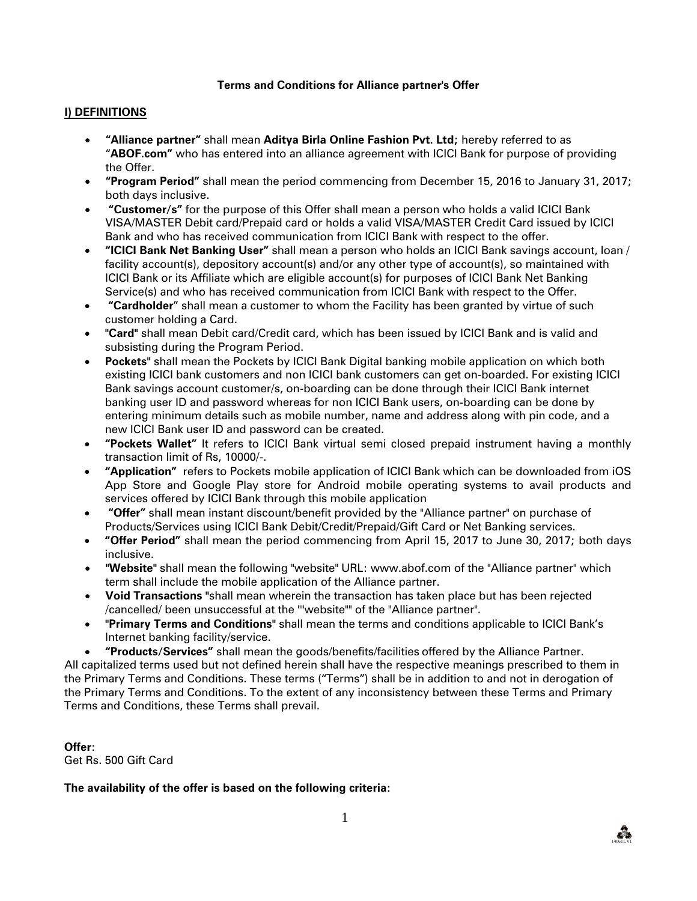### **Terms and Conditions for Alliance partner's Offer**

#### **I) DEFINITIONS**

- **"Alliance partner"** shall mean **Aditya Birla Online Fashion Pvt. Ltd;** hereby referred to as "**ABOF.com"** who has entered into an alliance agreement with ICICI Bank for purpose of providing the Offer.
- **"Program Period"** shall mean the period commencing from December 15, 2016 to January 31, 2017; both days inclusive.
- **"Customer/s"** for the purpose of this Offer shall mean a person who holds a valid ICICI Bank VISA/MASTER Debit card/Prepaid card or holds a valid VISA/MASTER Credit Card issued by ICICI Bank and who has received communication from ICICI Bank with respect to the offer.
- **"ICICI Bank Net Banking User"** shall mean a person who holds an ICICI Bank savings account, loan / facility account(s), depository account(s) and/or any other type of account(s), so maintained with ICICI Bank or its Affiliate which are eligible account(s) for purposes of ICICI Bank Net Banking Service(s) and who has received communication from ICICI Bank with respect to the Offer.
- **"Cardholder**" shall mean a customer to whom the Facility has been granted by virtue of such customer holding a Card.
- **"Card"** shall mean Debit card/Credit card, which has been issued by ICICI Bank and is valid and subsisting during the Program Period.
- **Pockets"** shall mean the Pockets by ICICI Bank Digital banking mobile application on which both existing ICICI bank customers and non ICICI bank customers can get on-boarded. For existing ICICI Bank savings account customer/s, on-boarding can be done through their ICICI Bank internet banking user ID and password whereas for non ICICI Bank users, on-boarding can be done by entering minimum details such as mobile number, name and address along with pin code, and a new ICICI Bank user ID and password can be created.
- **"Pockets Wallet"** It refers to ICICI Bank virtual semi closed prepaid instrument having a monthly transaction limit of Rs, 10000/-.
- **"Application"** refers to Pockets mobile application of ICICI Bank which can be downloaded from iOS App Store and Google Play store for Android mobile operating systems to avail products and services offered by ICICI Bank through this mobile application
- **"Offer"** shall mean instant discount/benefit provided by the "Alliance partner" on purchase of Products/Services using ICICI Bank Debit/Credit/Prepaid/Gift Card or Net Banking services.
- **"Offer Period"** shall mean the period commencing from April 15, 2017 to June 30, 2017; both days inclusive.
- **"Website"** shall mean the following "website" URL: www.abof.com of the "Alliance partner" which term shall include the mobile application of the Alliance partner.
- **Void Transactions "**shall mean wherein the transaction has taken place but has been rejected /cancelled/ been unsuccessful at the ""website"" of the "Alliance partner".
- **"Primary Terms and Conditions"** shall mean the terms and conditions applicable to ICICI Bank's Internet banking facility/service.
- **"Products/Services"** shall mean the goods/benefits/facilities offered by the Alliance Partner.

All capitalized terms used but not defined herein shall have the respective meanings prescribed to them in the Primary Terms and Conditions. These terms ("Terms") shall be in addition to and not in derogation of the Primary Terms and Conditions. To the extent of any inconsistency between these Terms and Primary Terms and Conditions, these Terms shall prevail.

**Offer**: Get Rs. 500 Gift Card

### **The availability of the offer is based on the following criteria:**

140611.V1

**PA**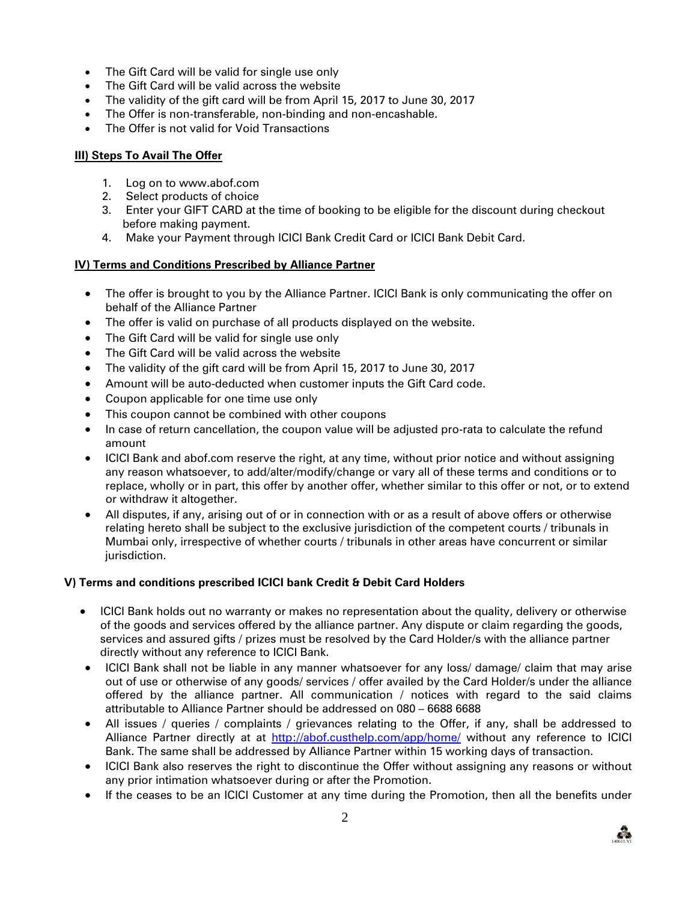- The Gift Card will be valid for single use only
- The Gift Card will be valid across the website
- The validity of the gift card will be from April 15, 2017 to June 30, 2017
- The Offer is non-transferable, non-binding and non-encashable.
- The Offer is not valid for Void Transactions

## **III) Steps To Avail The Offer**

- 1. Log on to www.abof.com
- 2. Select products of choice
- 3. Enter your GIFT CARD at the time of booking to be eligible for the discount during checkout before making payment.
- 4. Make your Payment through ICICI Bank Credit Card or ICICI Bank Debit Card.

# **IV) Terms and Conditions Prescribed by Alliance Partner**

- The offer is brought to you by the Alliance Partner. ICICI Bank is only communicating the offer on behalf of the Alliance Partner
- The offer is valid on purchase of all products displayed on the website.
- The Gift Card will be valid for single use only
- The Gift Card will be valid across the website
- The validity of the gift card will be from April 15, 2017 to June 30, 2017
- Amount will be auto-deducted when customer inputs the Gift Card code.
- Coupon applicable for one time use only
- This coupon cannot be combined with other coupons
- In case of return cancellation, the coupon value will be adjusted pro-rata to calculate the refund amount
- ICICI Bank and abof.com reserve the right, at any time, without prior notice and without assigning any reason whatsoever, to add/alter/modify/change or vary all of these terms and conditions or to replace, wholly or in part, this offer by another offer, whether similar to this offer or not, or to extend or withdraw it altogether.
- All disputes, if any, arising out of or in connection with or as a result of above offers or otherwise relating hereto shall be subject to the exclusive jurisdiction of the competent courts / tribunals in Mumbai only, irrespective of whether courts / tribunals in other areas have concurrent or similar jurisdiction.

### **V) Terms and conditions prescribed ICICI bank Credit & Debit Card Holders**

- ICICI Bank holds out no warranty or makes no representation about the quality, delivery or otherwise of the goods and services offered by the alliance partner. Any dispute or claim regarding the goods, services and assured gifts / prizes must be resolved by the Card Holder/s with the alliance partner directly without any reference to ICICI Bank.
- ICICI Bank shall not be liable in any manner whatsoever for any loss/ damage/ claim that may arise out of use or otherwise of any goods/ services / offer availed by the Card Holder/s under the alliance offered by the alliance partner. All communication / notices with regard to the said claims attributable to Alliance Partner should be addressed on 080 – 6688 6688
- All issues / queries / complaints / grievances relating to the Offer, if any, shall be addressed to Alliance Partner directly at at<http://abof.custhelp.com/app/home/> without any reference to ICICI Bank. The same shall be addressed by Alliance Partner within 15 working days of transaction.
- ICICI Bank also reserves the right to discontinue the Offer without assigning any reasons or without any prior intimation whatsoever during or after the Promotion.
- If the ceases to be an ICICI Customer at any time during the Promotion, then all the benefits under